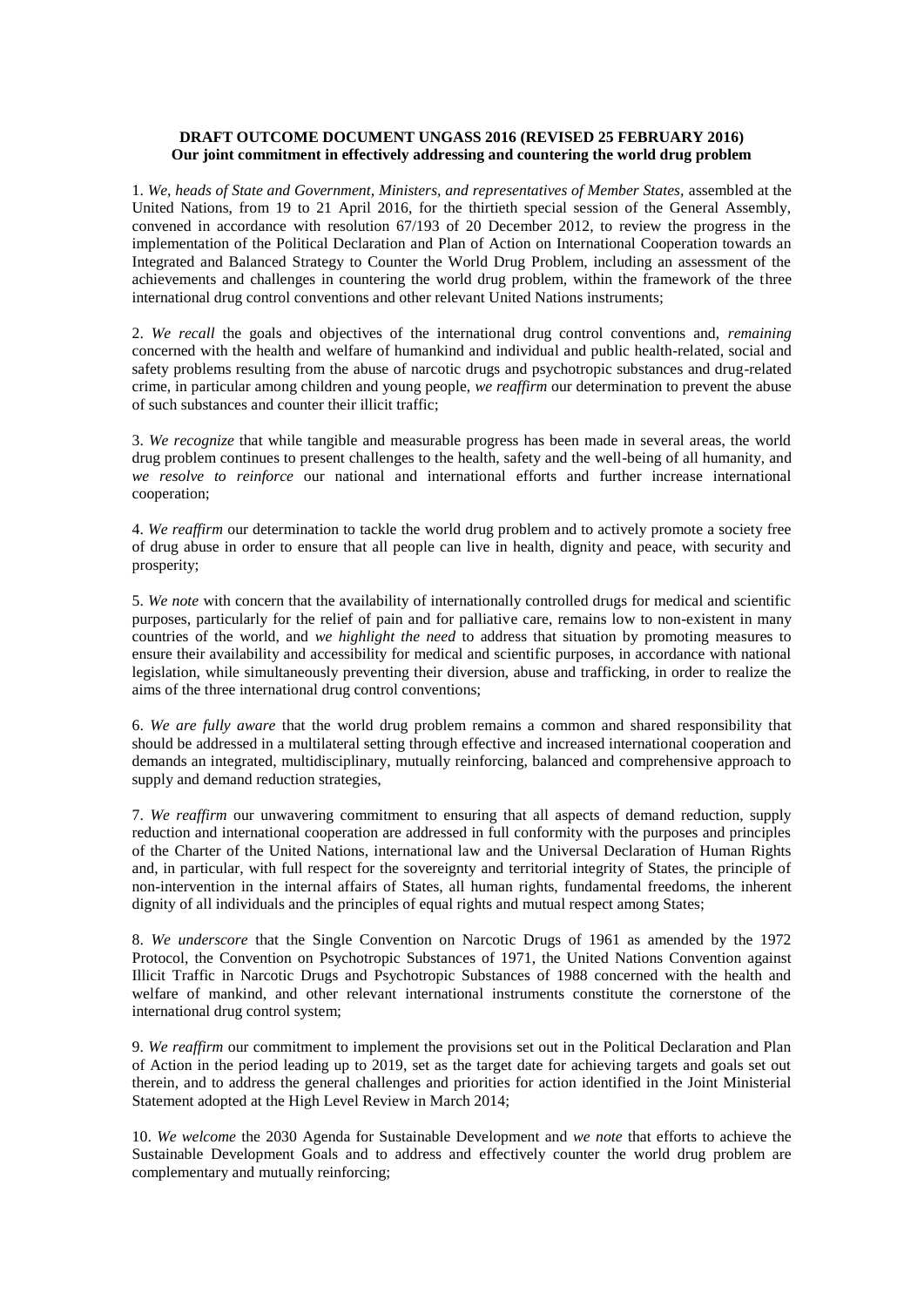# **DRAFT OUTCOME DOCUMENT UNGASS 2016 (REVISED 25 FEBRUARY 2016) Our joint commitment in effectively addressing and countering the world drug problem**

1. *We, heads of State and Government, Ministers, and representatives of Member States,* assembled at the United Nations, from 19 to 21 April 2016, for the thirtieth special session of the General Assembly, convened in accordance with resolution 67/193 of 20 December 2012, to review the progress in the implementation of the Political Declaration and Plan of Action on International Cooperation towards an Integrated and Balanced Strategy to Counter the World Drug Problem, including an assessment of the achievements and challenges in countering the world drug problem, within the framework of the three international drug control conventions and other relevant United Nations instruments;

2. *We recall* the goals and objectives of the international drug control conventions and, *remaining*  concerned with the health and welfare of humankind and individual and public health-related, social and safety problems resulting from the abuse of narcotic drugs and psychotropic substances and drug-related crime, in particular among children and young people, *we reaffirm* our determination to prevent the abuse of such substances and counter their illicit traffic;

3. *We recognize* that while tangible and measurable progress has been made in several areas, the world drug problem continues to present challenges to the health, safety and the well-being of all humanity, and *we resolve to reinforce* our national and international efforts and further increase international cooperation;

4. *We reaffirm* our determination to tackle the world drug problem and to actively promote a society free of drug abuse in order to ensure that all people can live in health, dignity and peace, with security and prosperity;

5. *We note* with concern that the availability of internationally controlled drugs for medical and scientific purposes, particularly for the relief of pain and for palliative care, remains low to non-existent in many countries of the world, and *we highlight the need* to address that situation by promoting measures to ensure their availability and accessibility for medical and scientific purposes, in accordance with national legislation, while simultaneously preventing their diversion, abuse and trafficking, in order to realize the aims of the three international drug control conventions;

6. *We are fully aware* that the world drug problem remains a common and shared responsibility that should be addressed in a multilateral setting through effective and increased international cooperation and demands an integrated, multidisciplinary, mutually reinforcing, balanced and comprehensive approach to supply and demand reduction strategies,

7. *We reaffirm* our unwavering commitment to ensuring that all aspects of demand reduction, supply reduction and international cooperation are addressed in full conformity with the purposes and principles of the Charter of the United Nations, international law and the Universal Declaration of Human Rights and, in particular, with full respect for the sovereignty and territorial integrity of States, the principle of non-intervention in the internal affairs of States, all human rights, fundamental freedoms, the inherent dignity of all individuals and the principles of equal rights and mutual respect among States;

8. *We underscore* that the Single Convention on Narcotic Drugs of 1961 as amended by the 1972 Protocol, the Convention on Psychotropic Substances of 1971, the United Nations Convention against Illicit Traffic in Narcotic Drugs and Psychotropic Substances of 1988 concerned with the health and welfare of mankind, and other relevant international instruments constitute the cornerstone of the international drug control system;

9. *We reaffirm* our commitment to implement the provisions set out in the Political Declaration and Plan of Action in the period leading up to 2019, set as the target date for achieving targets and goals set out therein, and to address the general challenges and priorities for action identified in the Joint Ministerial Statement adopted at the High Level Review in March 2014;

10. *We welcome* the 2030 Agenda for Sustainable Development and *we note* that efforts to achieve the Sustainable Development Goals and to address and effectively counter the world drug problem are complementary and mutually reinforcing;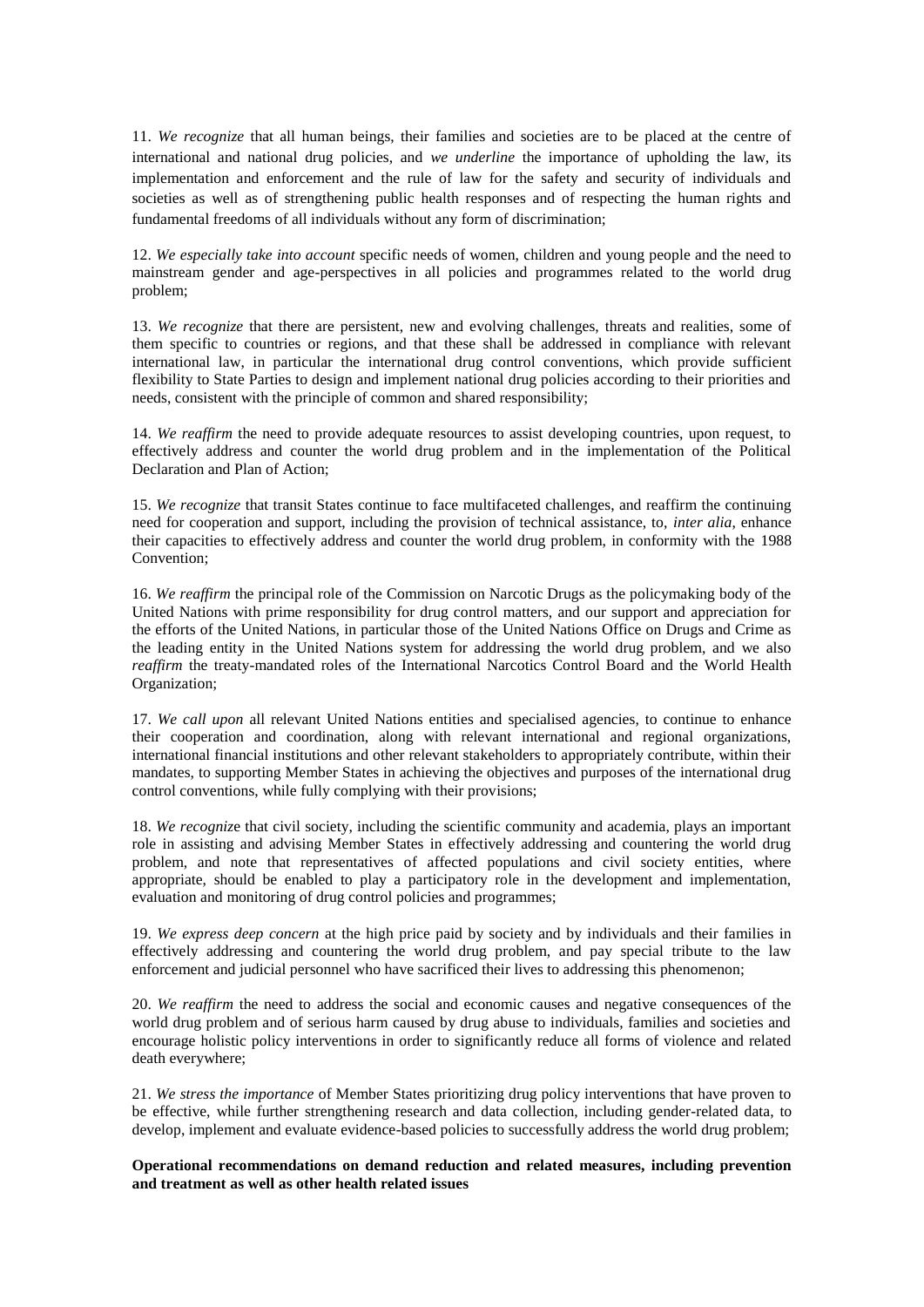11. *We recognize* that all human beings, their families and societies are to be placed at the centre of international and national drug policies, and *we underline* the importance of upholding the law, its implementation and enforcement and the rule of law for the safety and security of individuals and societies as well as of strengthening public health responses and of respecting the human rights and fundamental freedoms of all individuals without any form of discrimination;

12. *We especially take into account* specific needs of women, children and young people and the need to mainstream gender and age-perspectives in all policies and programmes related to the world drug problem;

13. *We recognize* that there are persistent, new and evolving challenges, threats and realities, some of them specific to countries or regions, and that these shall be addressed in compliance with relevant international law, in particular the international drug control conventions, which provide sufficient flexibility to State Parties to design and implement national drug policies according to their priorities and needs, consistent with the principle of common and shared responsibility;

14. We reaffirm the need to provide adequate resources to assist developing countries, upon request, to effectively address and counter the world drug problem and in the implementation of the Political Declaration and Plan of Action;

15. *We recognize* that transit States continue to face multifaceted challenges, and reaffirm the continuing need for cooperation and support, including the provision of technical assistance, to, *inter alia*, enhance their capacities to effectively address and counter the world drug problem, in conformity with the 1988 Convention;

16. *We reaffirm* the principal role of the Commission on Narcotic Drugs as the policymaking body of the United Nations with prime responsibility for drug control matters, and our support and appreciation for the efforts of the United Nations, in particular those of the United Nations Office on Drugs and Crime as the leading entity in the United Nations system for addressing the world drug problem, and we also *reaffirm* the treaty-mandated roles of the International Narcotics Control Board and the World Health Organization;

17. *We call upon* all relevant United Nations entities and specialised agencies, to continue to enhance their cooperation and coordination, along with relevant international and regional organizations, international financial institutions and other relevant stakeholders to appropriately contribute, within their mandates, to supporting Member States in achieving the objectives and purposes of the international drug control conventions, while fully complying with their provisions;

18. *We recogniz*e that civil society, including the scientific community and academia, plays an important role in assisting and advising Member States in effectively addressing and countering the world drug problem, and note that representatives of affected populations and civil society entities, where appropriate, should be enabled to play a participatory role in the development and implementation, evaluation and monitoring of drug control policies and programmes;

19. *We express deep concern* at the high price paid by society and by individuals and their families in effectively addressing and countering the world drug problem, and pay special tribute to the law enforcement and judicial personnel who have sacrificed their lives to addressing this phenomenon;

20. *We reaffirm* the need to address the social and economic causes and negative consequences of the world drug problem and of serious harm caused by drug abuse to individuals, families and societies and encourage holistic policy interventions in order to significantly reduce all forms of violence and related death everywhere;

21. *We stress the importance* of Member States prioritizing drug policy interventions that have proven to be effective, while further strengthening research and data collection, including gender-related data, to develop, implement and evaluate evidence-based policies to successfully address the world drug problem;

**Operational recommendations on demand reduction and related measures, including prevention and treatment as well as other health related issues**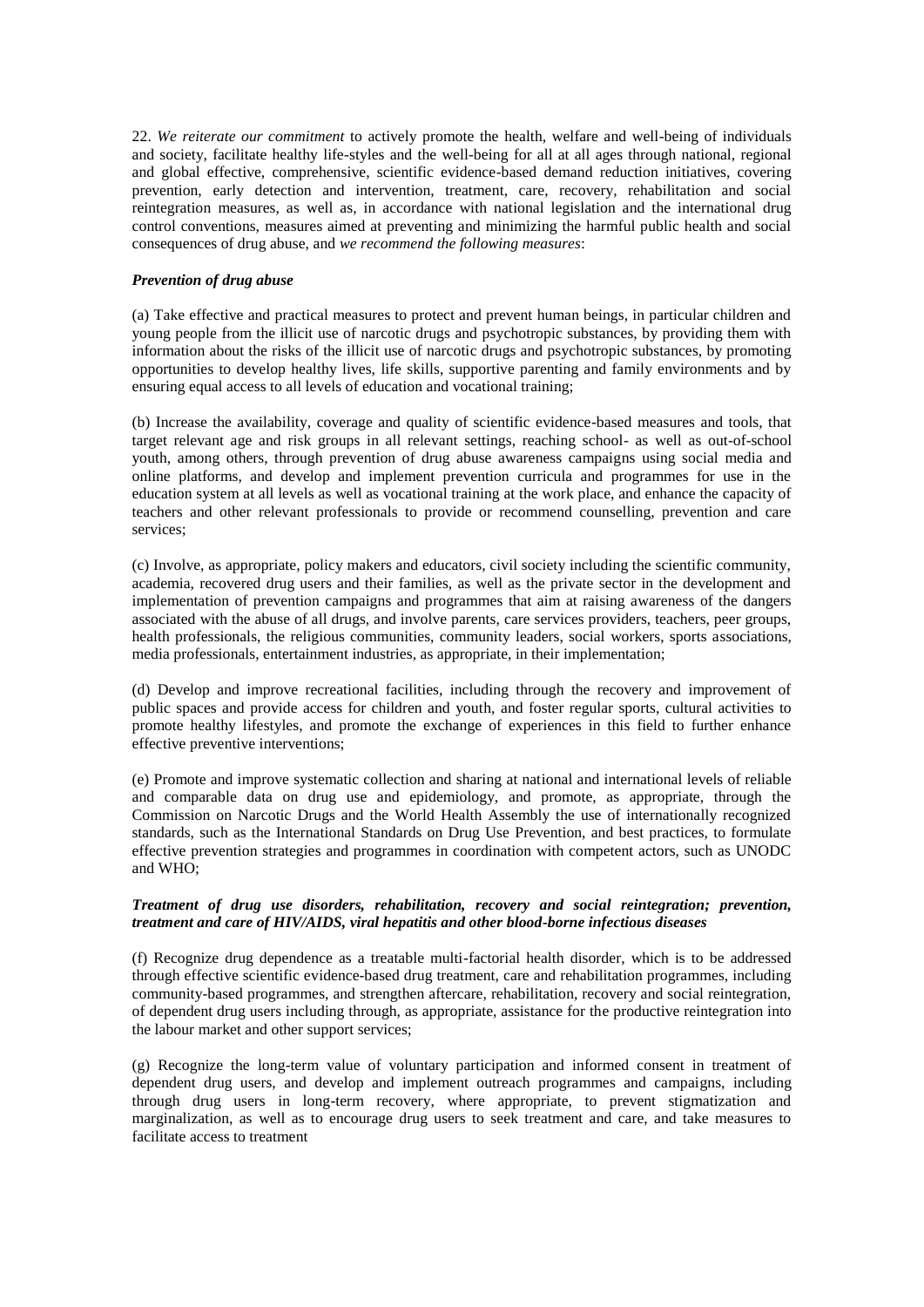22. *We reiterate our commitment* to actively promote the health, welfare and well-being of individuals and society, facilitate healthy life-styles and the well-being for all at all ages through national, regional and global effective, comprehensive, scientific evidence-based demand reduction initiatives, covering prevention, early detection and intervention, treatment, care, recovery, rehabilitation and social reintegration measures, as well as, in accordance with national legislation and the international drug control conventions, measures aimed at preventing and minimizing the harmful public health and social consequences of drug abuse, and *we recommend the following measures*:

### *Prevention of drug abuse*

(a) Take effective and practical measures to protect and prevent human beings, in particular children and young people from the illicit use of narcotic drugs and psychotropic substances, by providing them with information about the risks of the illicit use of narcotic drugs and psychotropic substances, by promoting opportunities to develop healthy lives, life skills, supportive parenting and family environments and by ensuring equal access to all levels of education and vocational training;

(b) Increase the availability, coverage and quality of scientific evidence-based measures and tools, that target relevant age and risk groups in all relevant settings, reaching school- as well as out-of-school youth, among others, through prevention of drug abuse awareness campaigns using social media and online platforms, and develop and implement prevention curricula and programmes for use in the education system at all levels as well as vocational training at the work place, and enhance the capacity of teachers and other relevant professionals to provide or recommend counselling, prevention and care services;

(c) Involve, as appropriate, policy makers and educators, civil society including the scientific community, academia, recovered drug users and their families, as well as the private sector in the development and implementation of prevention campaigns and programmes that aim at raising awareness of the dangers associated with the abuse of all drugs, and involve parents, care services providers, teachers, peer groups, health professionals, the religious communities, community leaders, social workers, sports associations, media professionals, entertainment industries, as appropriate, in their implementation;

(d) Develop and improve recreational facilities, including through the recovery and improvement of public spaces and provide access for children and youth, and foster regular sports, cultural activities to promote healthy lifestyles, and promote the exchange of experiences in this field to further enhance effective preventive interventions;

(e) Promote and improve systematic collection and sharing at national and international levels of reliable and comparable data on drug use and epidemiology, and promote, as appropriate, through the Commission on Narcotic Drugs and the World Health Assembly the use of internationally recognized standards, such as the International Standards on Drug Use Prevention, and best practices, to formulate effective prevention strategies and programmes in coordination with competent actors, such as UNODC and WHO;

### *Treatment of drug use disorders, rehabilitation, recovery and social reintegration; prevention, treatment and care of HIV/AIDS, viral hepatitis and other blood-borne infectious diseases*

(f) Recognize drug dependence as a treatable multi-factorial health disorder, which is to be addressed through effective scientific evidence-based drug treatment, care and rehabilitation programmes, including community-based programmes, and strengthen aftercare, rehabilitation, recovery and social reintegration, of dependent drug users including through, as appropriate, assistance for the productive reintegration into the labour market and other support services;

(g) Recognize the long-term value of voluntary participation and informed consent in treatment of dependent drug users, and develop and implement outreach programmes and campaigns, including through drug users in long-term recovery, where appropriate, to prevent stigmatization and marginalization, as well as to encourage drug users to seek treatment and care, and take measures to facilitate access to treatment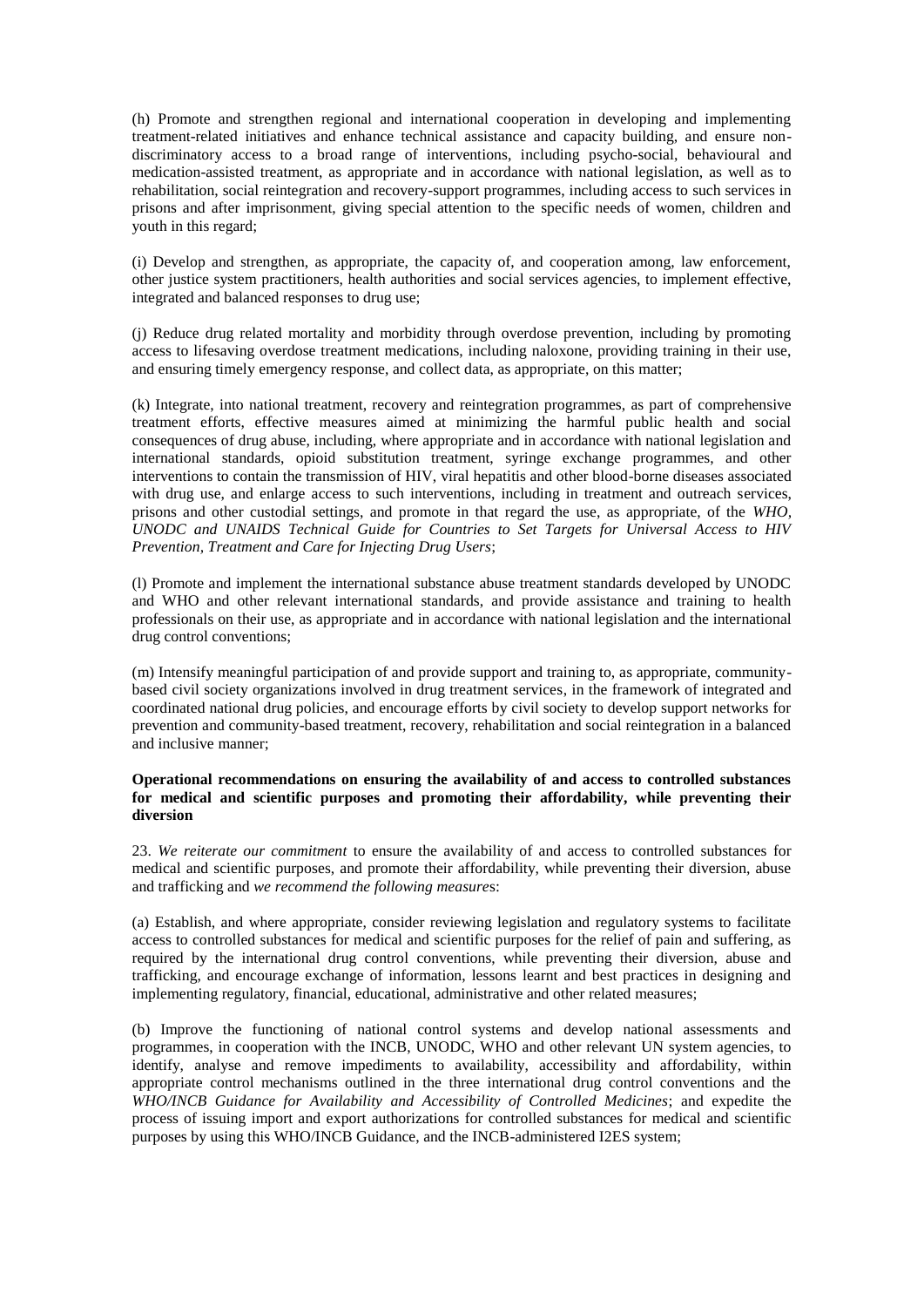(h) Promote and strengthen regional and international cooperation in developing and implementing treatment-related initiatives and enhance technical assistance and capacity building, and ensure nondiscriminatory access to a broad range of interventions, including psycho-social, behavioural and medication-assisted treatment, as appropriate and in accordance with national legislation, as well as to rehabilitation, social reintegration and recovery-support programmes, including access to such services in prisons and after imprisonment, giving special attention to the specific needs of women, children and youth in this regard;

(i) Develop and strengthen, as appropriate, the capacity of, and cooperation among, law enforcement, other justice system practitioners, health authorities and social services agencies, to implement effective, integrated and balanced responses to drug use;

(j) Reduce drug related mortality and morbidity through overdose prevention, including by promoting access to lifesaving overdose treatment medications, including naloxone, providing training in their use, and ensuring timely emergency response, and collect data, as appropriate, on this matter;

(k) Integrate, into national treatment, recovery and reintegration programmes, as part of comprehensive treatment efforts, effective measures aimed at minimizing the harmful public health and social consequences of drug abuse, including, where appropriate and in accordance with national legislation and international standards, opioid substitution treatment, syringe exchange programmes, and other interventions to contain the transmission of HIV, viral hepatitis and other blood-borne diseases associated with drug use, and enlarge access to such interventions, including in treatment and outreach services, prisons and other custodial settings, and promote in that regard the use, as appropriate, of the *WHO, UNODC and UNAIDS Technical Guide for Countries to Set Targets for Universal Access to HIV Prevention, Treatment and Care for Injecting Drug Users*;

(l) Promote and implement the international substance abuse treatment standards developed by UNODC and WHO and other relevant international standards, and provide assistance and training to health professionals on their use, as appropriate and in accordance with national legislation and the international drug control conventions;

(m) Intensify meaningful participation of and provide support and training to, as appropriate, communitybased civil society organizations involved in drug treatment services, in the framework of integrated and coordinated national drug policies, and encourage efforts by civil society to develop support networks for prevention and community-based treatment, recovery, rehabilitation and social reintegration in a balanced and inclusive manner;

### **Operational recommendations on ensuring the availability of and access to controlled substances for medical and scientific purposes and promoting their affordability, while preventing their diversion**

23. *We reiterate our commitment* to ensure the availability of and access to controlled substances for medical and scientific purposes, and promote their affordability, while preventing their diversion, abuse and trafficking and *we recommend the following measure*s:

(a) Establish, and where appropriate, consider reviewing legislation and regulatory systems to facilitate access to controlled substances for medical and scientific purposes for the relief of pain and suffering, as required by the international drug control conventions, while preventing their diversion, abuse and trafficking, and encourage exchange of information, lessons learnt and best practices in designing and implementing regulatory, financial, educational, administrative and other related measures;

(b) Improve the functioning of national control systems and develop national assessments and programmes, in cooperation with the INCB, UNODC, WHO and other relevant UN system agencies, to identify, analyse and remove impediments to availability, accessibility and affordability, within appropriate control mechanisms outlined in the three international drug control conventions and the *WHO/INCB Guidance for Availability and Accessibility of Controlled Medicines*; and expedite the process of issuing import and export authorizations for controlled substances for medical and scientific purposes by using this WHO/INCB Guidance, and the INCB-administered I2ES system;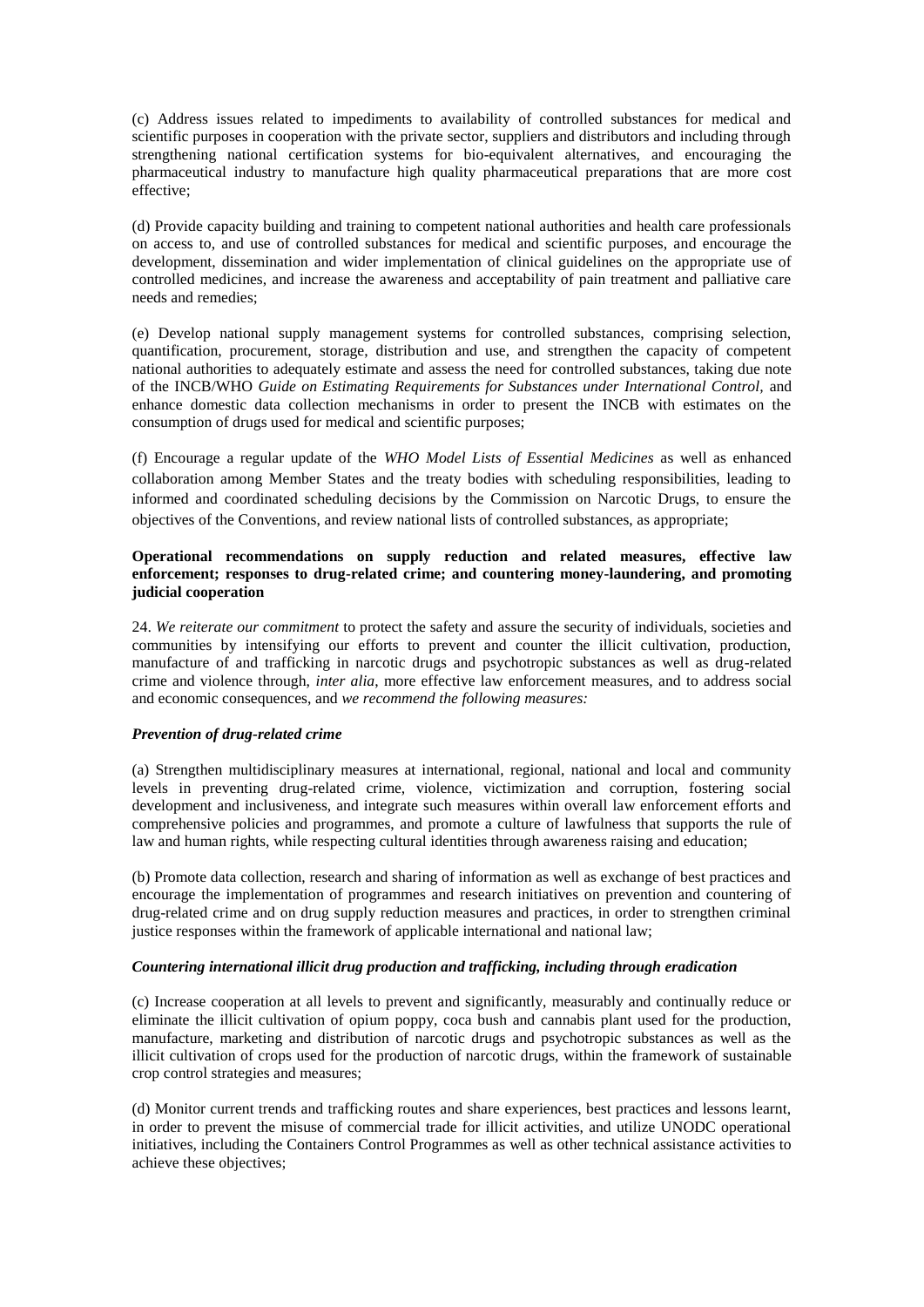(c) Address issues related to impediments to availability of controlled substances for medical and scientific purposes in cooperation with the private sector, suppliers and distributors and including through strengthening national certification systems for bio-equivalent alternatives, and encouraging the pharmaceutical industry to manufacture high quality pharmaceutical preparations that are more cost effective;

(d) Provide capacity building and training to competent national authorities and health care professionals on access to, and use of controlled substances for medical and scientific purposes, and encourage the development, dissemination and wider implementation of clinical guidelines on the appropriate use of controlled medicines, and increase the awareness and acceptability of pain treatment and palliative care needs and remedies;

(e) Develop national supply management systems for controlled substances, comprising selection, quantification, procurement, storage, distribution and use, and strengthen the capacity of competent national authorities to adequately estimate and assess the need for controlled substances, taking due note of the INCB/WHO *Guide on Estimating Requirements for Substances under International Control,* and enhance domestic data collection mechanisms in order to present the INCB with estimates on the consumption of drugs used for medical and scientific purposes;

(f) Encourage a regular update of the *WHO Model Lists of Essential Medicines* as well as enhanced collaboration among Member States and the treaty bodies with scheduling responsibilities, leading to informed and coordinated scheduling decisions by the Commission on Narcotic Drugs, to ensure the objectives of the Conventions, and review national lists of controlled substances, as appropriate;

# **Operational recommendations on supply reduction and related measures, effective law enforcement; responses to drug-related crime; and countering money-laundering, and promoting judicial cooperation**

24. *We reiterate our commitment* to protect the safety and assure the security of individuals, societies and communities by intensifying our efforts to prevent and counter the illicit cultivation, production, manufacture of and trafficking in narcotic drugs and psychotropic substances as well as drug-related crime and violence through, *inter alia*, more effective law enforcement measures, and to address social and economic consequences, and *we recommend the following measures:* 

## *Prevention of drug-related crime*

(a) Strengthen multidisciplinary measures at international, regional, national and local and community levels in preventing drug-related crime, violence, victimization and corruption, fostering social development and inclusiveness, and integrate such measures within overall law enforcement efforts and comprehensive policies and programmes, and promote a culture of lawfulness that supports the rule of law and human rights, while respecting cultural identities through awareness raising and education;

(b) Promote data collection, research and sharing of information as well as exchange of best practices and encourage the implementation of programmes and research initiatives on prevention and countering of drug-related crime and on drug supply reduction measures and practices, in order to strengthen criminal justice responses within the framework of applicable international and national law;

## *Countering international illicit drug production and trafficking, including through eradication*

(c) Increase cooperation at all levels to prevent and significantly, measurably and continually reduce or eliminate the illicit cultivation of opium poppy, coca bush and cannabis plant used for the production, manufacture, marketing and distribution of narcotic drugs and psychotropic substances as well as the illicit cultivation of crops used for the production of narcotic drugs, within the framework of sustainable crop control strategies and measures;

(d) Monitor current trends and trafficking routes and share experiences, best practices and lessons learnt, in order to prevent the misuse of commercial trade for illicit activities, and utilize UNODC operational initiatives, including the Containers Control Programmes as well as other technical assistance activities to achieve these objectives;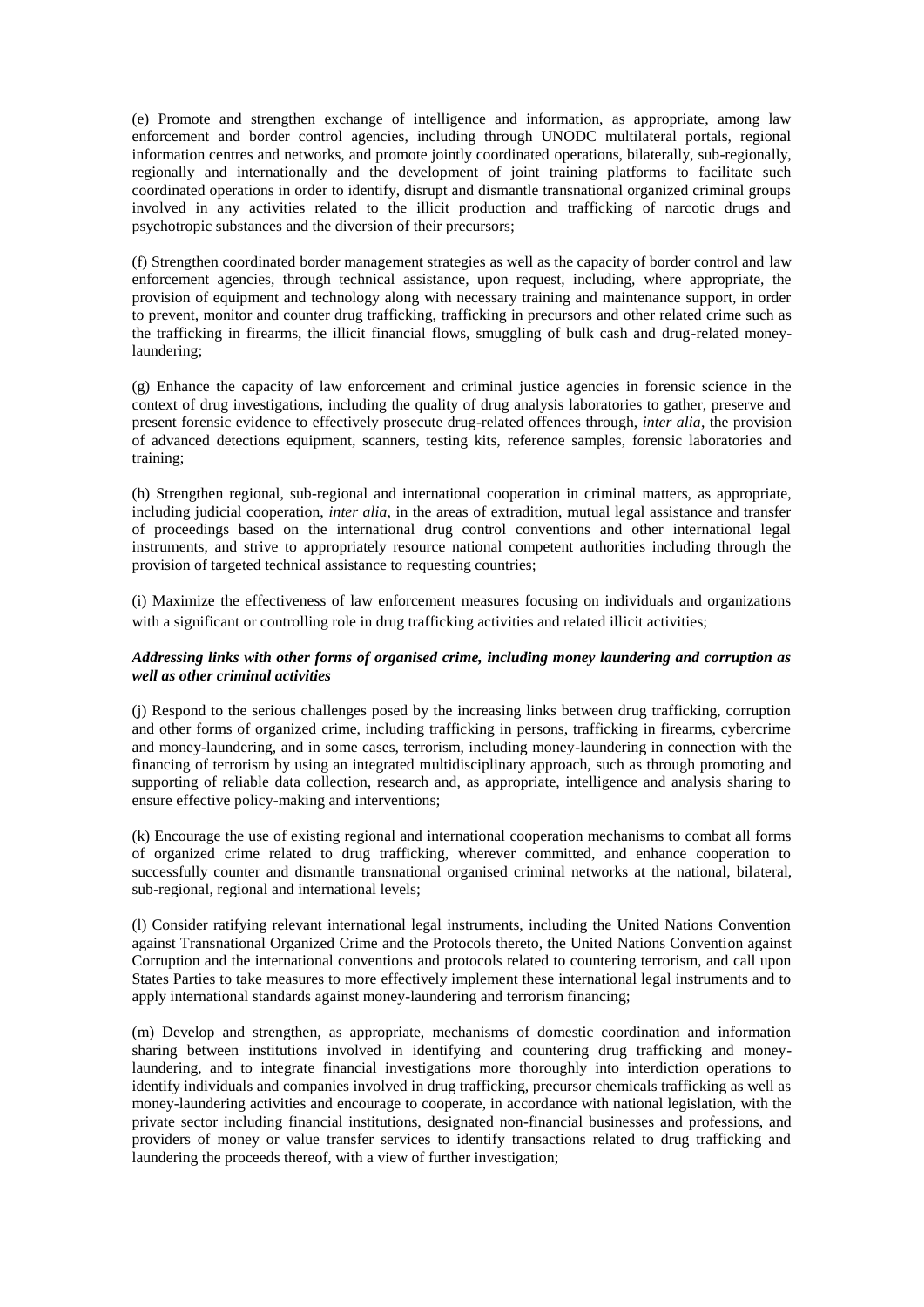(e) Promote and strengthen exchange of intelligence and information, as appropriate, among law enforcement and border control agencies, including through UNODC multilateral portals, regional information centres and networks, and promote jointly coordinated operations, bilaterally, sub-regionally, regionally and internationally and the development of joint training platforms to facilitate such coordinated operations in order to identify, disrupt and dismantle transnational organized criminal groups involved in any activities related to the illicit production and trafficking of narcotic drugs and psychotropic substances and the diversion of their precursors;

(f) Strengthen coordinated border management strategies as well as the capacity of border control and law enforcement agencies, through technical assistance, upon request, including, where appropriate, the provision of equipment and technology along with necessary training and maintenance support, in order to prevent, monitor and counter drug trafficking, trafficking in precursors and other related crime such as the trafficking in firearms, the illicit financial flows, smuggling of bulk cash and drug-related moneylaundering;

(g) Enhance the capacity of law enforcement and criminal justice agencies in forensic science in the context of drug investigations, including the quality of drug analysis laboratories to gather, preserve and present forensic evidence to effectively prosecute drug-related offences through, *inter alia*, the provision of advanced detections equipment, scanners, testing kits, reference samples, forensic laboratories and training;

(h) Strengthen regional, sub-regional and international cooperation in criminal matters, as appropriate, including judicial cooperation, *inter alia*, in the areas of extradition, mutual legal assistance and transfer of proceedings based on the international drug control conventions and other international legal instruments, and strive to appropriately resource national competent authorities including through the provision of targeted technical assistance to requesting countries;

(i) Maximize the effectiveness of law enforcement measures focusing on individuals and organizations with a significant or controlling role in drug trafficking activities and related illicit activities;

## *Addressing links with other forms of organised crime, including money laundering and corruption as well as other criminal activities*

(j) Respond to the serious challenges posed by the increasing links between drug trafficking, corruption and other forms of organized crime, including trafficking in persons, trafficking in firearms, cybercrime and money-laundering, and in some cases, terrorism, including money-laundering in connection with the financing of terrorism by using an integrated multidisciplinary approach, such as through promoting and supporting of reliable data collection, research and, as appropriate, intelligence and analysis sharing to ensure effective policy-making and interventions;

(k) Encourage the use of existing regional and international cooperation mechanisms to combat all forms of organized crime related to drug trafficking, wherever committed, and enhance cooperation to successfully counter and dismantle transnational organised criminal networks at the national, bilateral, sub-regional, regional and international levels;

(l) Consider ratifying relevant international legal instruments, including the United Nations Convention against Transnational Organized Crime and the Protocols thereto, the United Nations Convention against Corruption and the international conventions and protocols related to countering terrorism, and call upon States Parties to take measures to more effectively implement these international legal instruments and to apply international standards against money-laundering and terrorism financing;

(m) Develop and strengthen, as appropriate, mechanisms of domestic coordination and information sharing between institutions involved in identifying and countering drug trafficking and moneylaundering, and to integrate financial investigations more thoroughly into interdiction operations to identify individuals and companies involved in drug trafficking, precursor chemicals trafficking as well as money-laundering activities and encourage to cooperate, in accordance with national legislation, with the private sector including financial institutions, designated non-financial businesses and professions, and providers of money or value transfer services to identify transactions related to drug trafficking and laundering the proceeds thereof, with a view of further investigation;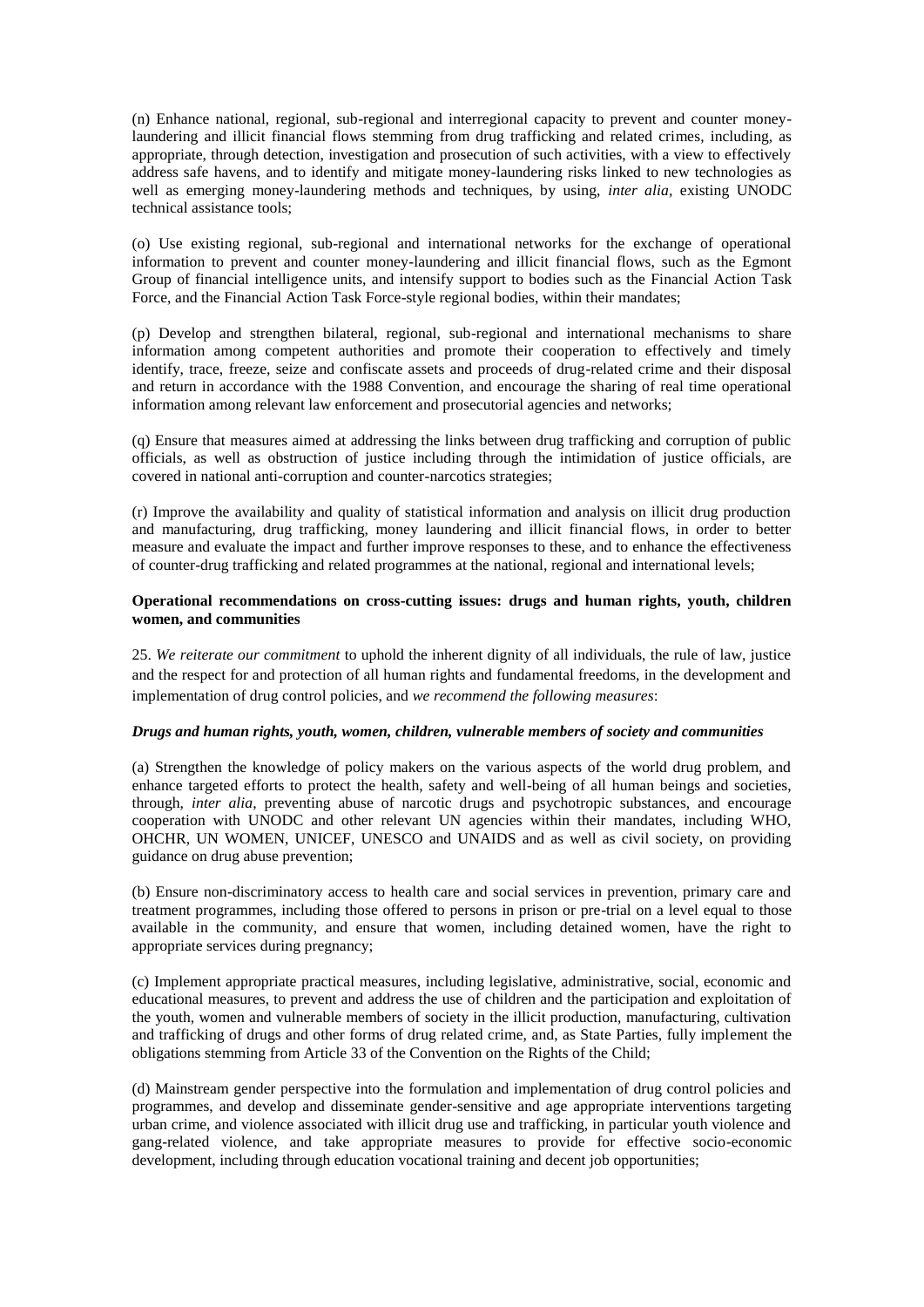(n) Enhance national, regional, sub-regional and interregional capacity to prevent and counter moneylaundering and illicit financial flows stemming from drug trafficking and related crimes, including, as appropriate, through detection, investigation and prosecution of such activities, with a view to effectively address safe havens, and to identify and mitigate money-laundering risks linked to new technologies as well as emerging money-laundering methods and techniques, by using, *inter alia,* existing UNODC technical assistance tools;

(o) Use existing regional, sub-regional and international networks for the exchange of operational information to prevent and counter money-laundering and illicit financial flows, such as the Egmont Group of financial intelligence units, and intensify support to bodies such as the Financial Action Task Force, and the Financial Action Task Force-style regional bodies, within their mandates;

(p) Develop and strengthen bilateral, regional, sub-regional and international mechanisms to share information among competent authorities and promote their cooperation to effectively and timely identify, trace, freeze, seize and confiscate assets and proceeds of drug-related crime and their disposal and return in accordance with the 1988 Convention, and encourage the sharing of real time operational information among relevant law enforcement and prosecutorial agencies and networks;

(q) Ensure that measures aimed at addressing the links between drug trafficking and corruption of public officials, as well as obstruction of justice including through the intimidation of justice officials, are covered in national anti-corruption and counter-narcotics strategies;

(r) Improve the availability and quality of statistical information and analysis on illicit drug production and manufacturing, drug trafficking, money laundering and illicit financial flows, in order to better measure and evaluate the impact and further improve responses to these, and to enhance the effectiveness of counter-drug trafficking and related programmes at the national, regional and international levels;

### **Operational recommendations on cross-cutting issues: drugs and human rights, youth, children women, and communities**

25. *We reiterate our commitment* to uphold the inherent dignity of all individuals, the rule of law, justice and the respect for and protection of all human rights and fundamental freedoms, in the development and implementation of drug control policies, and *we recommend the following measures*:

# *Drugs and human rights, youth, women, children, vulnerable members of society and communities*

(a) Strengthen the knowledge of policy makers on the various aspects of the world drug problem, and enhance targeted efforts to protect the health, safety and well-being of all human beings and societies, through, *inter alia*, preventing abuse of narcotic drugs and psychotropic substances, and encourage cooperation with UNODC and other relevant UN agencies within their mandates, including WHO, OHCHR, UN WOMEN, UNICEF, UNESCO and UNAIDS and as well as civil society, on providing guidance on drug abuse prevention;

(b) Ensure non-discriminatory access to health care and social services in prevention, primary care and treatment programmes, including those offered to persons in prison or pre-trial on a level equal to those available in the community, and ensure that women, including detained women, have the right to appropriate services during pregnancy;

(c) Implement appropriate practical measures, including legislative, administrative, social, economic and educational measures, to prevent and address the use of children and the participation and exploitation of the youth, women and vulnerable members of society in the illicit production, manufacturing, cultivation and trafficking of drugs and other forms of drug related crime, and, as State Parties, fully implement the obligations stemming from Article 33 of the Convention on the Rights of the Child;

(d) Mainstream gender perspective into the formulation and implementation of drug control policies and programmes, and develop and disseminate gender-sensitive and age appropriate interventions targeting urban crime, and violence associated with illicit drug use and trafficking, in particular youth violence and gang-related violence, and take appropriate measures to provide for effective socio-economic development, including through education vocational training and decent job opportunities;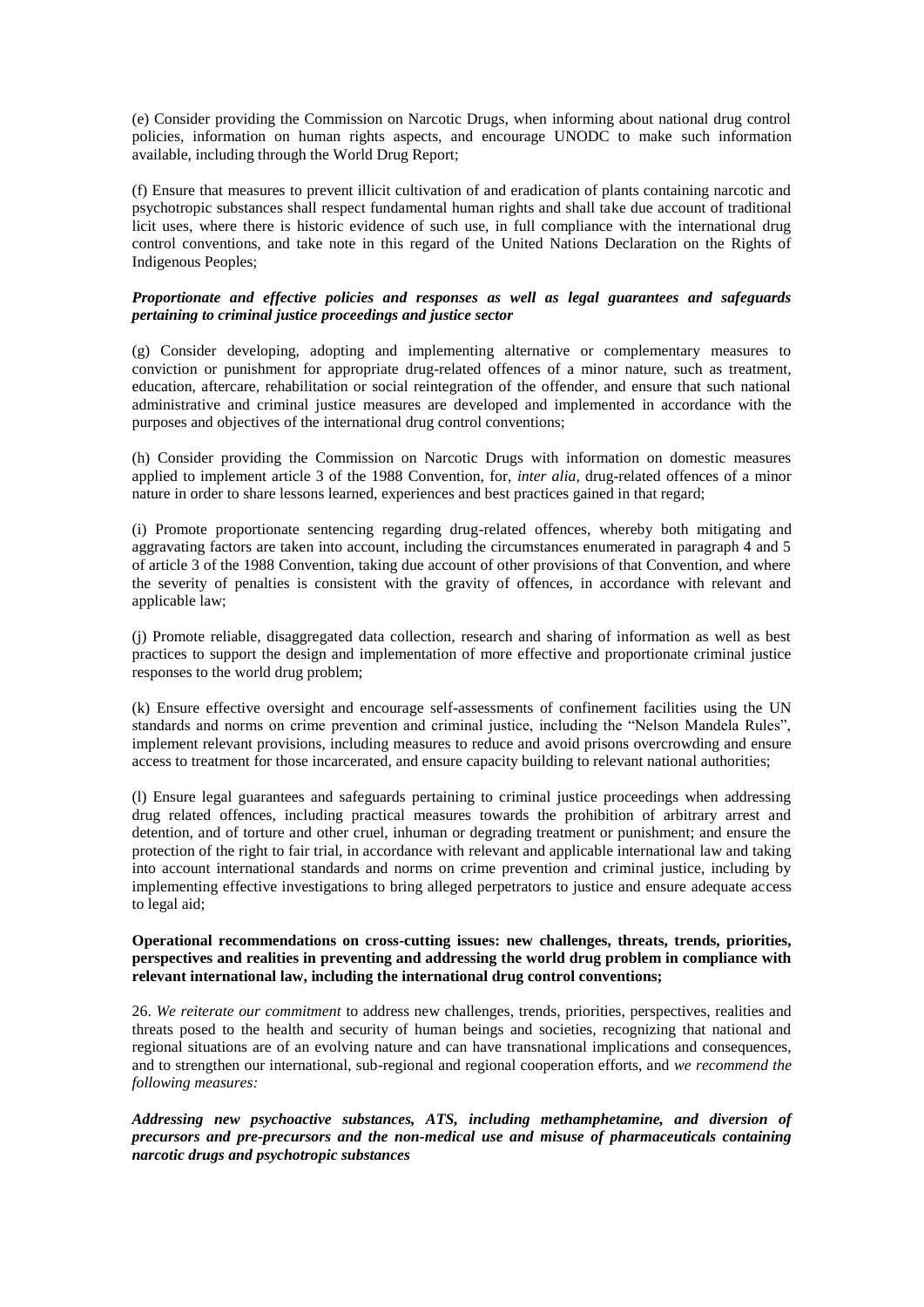(e) Consider providing the Commission on Narcotic Drugs, when informing about national drug control policies, information on human rights aspects, and encourage UNODC to make such information available, including through the World Drug Report;

(f) Ensure that measures to prevent illicit cultivation of and eradication of plants containing narcotic and psychotropic substances shall respect fundamental human rights and shall take due account of traditional licit uses, where there is historic evidence of such use, in full compliance with the international drug control conventions, and take note in this regard of the United Nations Declaration on the Rights of Indigenous Peoples;

### *Proportionate and effective policies and responses as well as legal guarantees and safeguards pertaining to criminal justice proceedings and justice sector*

(g) Consider developing, adopting and implementing alternative or complementary measures to conviction or punishment for appropriate drug-related offences of a minor nature, such as treatment, education, aftercare, rehabilitation or social reintegration of the offender, and ensure that such national administrative and criminal justice measures are developed and implemented in accordance with the purposes and objectives of the international drug control conventions;

(h) Consider providing the Commission on Narcotic Drugs with information on domestic measures applied to implement article 3 of the 1988 Convention, for, *inter alia*, drug-related offences of a minor nature in order to share lessons learned, experiences and best practices gained in that regard;

(i) Promote proportionate sentencing regarding drug-related offences, whereby both mitigating and aggravating factors are taken into account, including the circumstances enumerated in paragraph 4 and 5 of article 3 of the 1988 Convention, taking due account of other provisions of that Convention, and where the severity of penalties is consistent with the gravity of offences, in accordance with relevant and applicable law;

(j) Promote reliable, disaggregated data collection, research and sharing of information as well as best practices to support the design and implementation of more effective and proportionate criminal justice responses to the world drug problem;

(k) Ensure effective oversight and encourage self-assessments of confinement facilities using the UN standards and norms on crime prevention and criminal justice, including the "Nelson Mandela Rules", implement relevant provisions, including measures to reduce and avoid prisons overcrowding and ensure access to treatment for those incarcerated, and ensure capacity building to relevant national authorities;

(l) Ensure legal guarantees and safeguards pertaining to criminal justice proceedings when addressing drug related offences, including practical measures towards the prohibition of arbitrary arrest and detention, and of torture and other cruel, inhuman or degrading treatment or punishment; and ensure the protection of the right to fair trial, in accordance with relevant and applicable international law and taking into account international standards and norms on crime prevention and criminal justice, including by implementing effective investigations to bring alleged perpetrators to justice and ensure adequate access to legal aid;

## **Operational recommendations on cross-cutting issues: new challenges, threats, trends, priorities, perspectives and realities in preventing and addressing the world drug problem in compliance with relevant international law, including the international drug control conventions;**

26. *We reiterate our commitment* to address new challenges, trends, priorities, perspectives, realities and threats posed to the health and security of human beings and societies, recognizing that national and regional situations are of an evolving nature and can have transnational implications and consequences, and to strengthen our international, sub-regional and regional cooperation efforts, and *we recommend the following measures:* 

*Addressing new psychoactive substances, ATS, including methamphetamine, and diversion of precursors and pre-precursors and the non-medical use and misuse of pharmaceuticals containing narcotic drugs and psychotropic substances*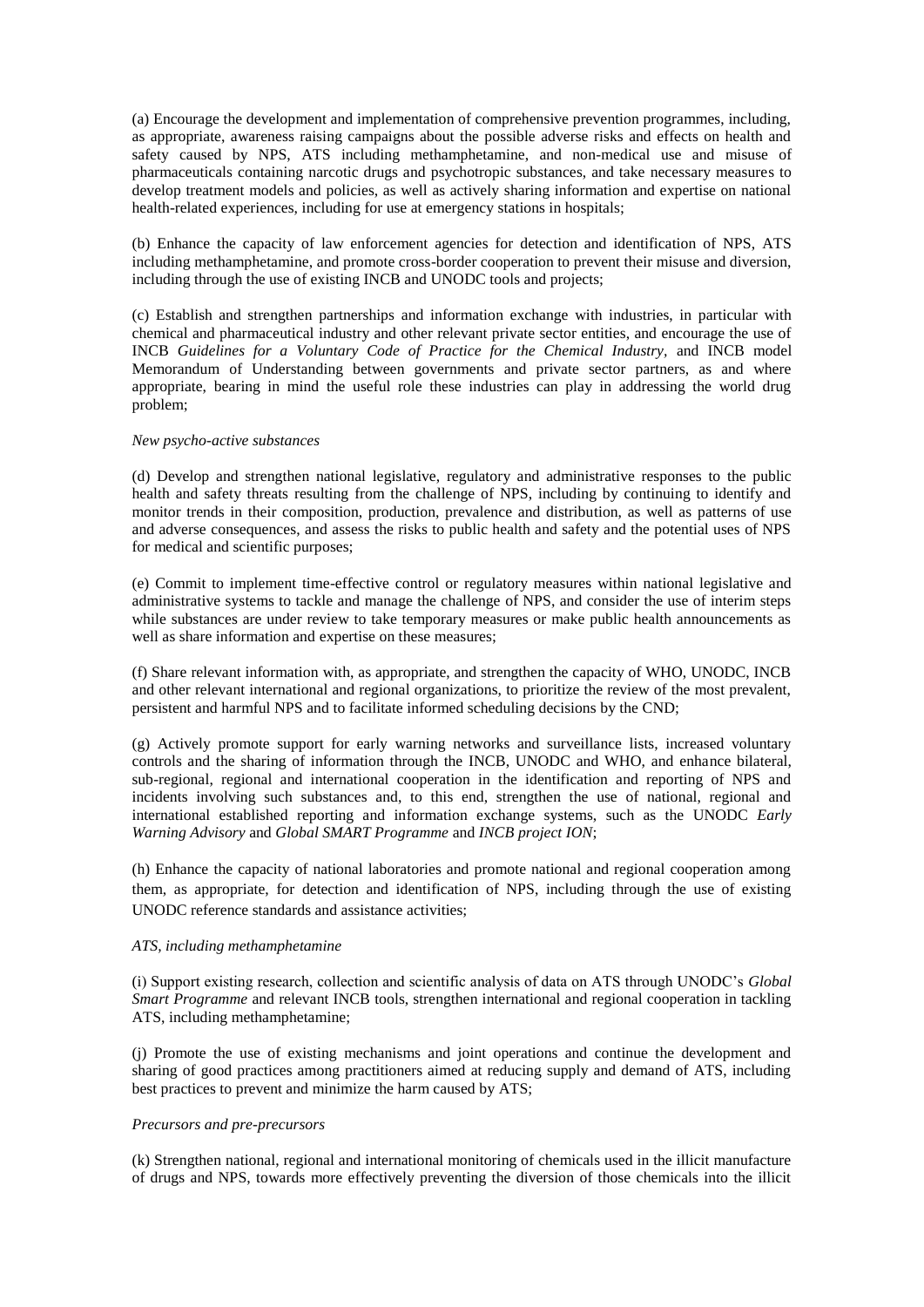(a) Encourage the development and implementation of comprehensive prevention programmes, including, as appropriate, awareness raising campaigns about the possible adverse risks and effects on health and safety caused by NPS, ATS including methamphetamine, and non-medical use and misuse of pharmaceuticals containing narcotic drugs and psychotropic substances, and take necessary measures to develop treatment models and policies, as well as actively sharing information and expertise on national health-related experiences, including for use at emergency stations in hospitals;

(b) Enhance the capacity of law enforcement agencies for detection and identification of NPS, ATS including methamphetamine, and promote cross-border cooperation to prevent their misuse and diversion, including through the use of existing INCB and UNODC tools and projects;

(c) Establish and strengthen partnerships and information exchange with industries, in particular with chemical and pharmaceutical industry and other relevant private sector entities, and encourage the use of INCB *Guidelines for a Voluntary Code of Practice for the Chemical Industry,* and INCB model Memorandum of Understanding between governments and private sector partners, as and where appropriate, bearing in mind the useful role these industries can play in addressing the world drug problem;

### *New psycho-active substances*

(d) Develop and strengthen national legislative, regulatory and administrative responses to the public health and safety threats resulting from the challenge of NPS, including by continuing to identify and monitor trends in their composition, production, prevalence and distribution, as well as patterns of use and adverse consequences, and assess the risks to public health and safety and the potential uses of NPS for medical and scientific purposes;

(e) Commit to implement time-effective control or regulatory measures within national legislative and administrative systems to tackle and manage the challenge of NPS, and consider the use of interim steps while substances are under review to take temporary measures or make public health announcements as well as share information and expertise on these measures;

(f) Share relevant information with, as appropriate, and strengthen the capacity of WHO, UNODC, INCB and other relevant international and regional organizations, to prioritize the review of the most prevalent, persistent and harmful NPS and to facilitate informed scheduling decisions by the CND;

(g) Actively promote support for early warning networks and surveillance lists, increased voluntary controls and the sharing of information through the INCB, UNODC and WHO, and enhance bilateral, sub-regional, regional and international cooperation in the identification and reporting of NPS and incidents involving such substances and, to this end, strengthen the use of national, regional and international established reporting and information exchange systems, such as the UNODC *Early Warning Advisory* and *Global SMART Programme* and *INCB project ION*;

(h) Enhance the capacity of national laboratories and promote national and regional cooperation among them, as appropriate, for detection and identification of NPS, including through the use of existing UNODC reference standards and assistance activities;

## *ATS, including methamphetamine*

(i) Support existing research, collection and scientific analysis of data on ATS through UNODC's *Global Smart Programme* and relevant INCB tools, strengthen international and regional cooperation in tackling ATS, including methamphetamine;

(j) Promote the use of existing mechanisms and joint operations and continue the development and sharing of good practices among practitioners aimed at reducing supply and demand of ATS, including best practices to prevent and minimize the harm caused by ATS;

## *Precursors and pre-precursors*

(k) Strengthen national, regional and international monitoring of chemicals used in the illicit manufacture of drugs and NPS, towards more effectively preventing the diversion of those chemicals into the illicit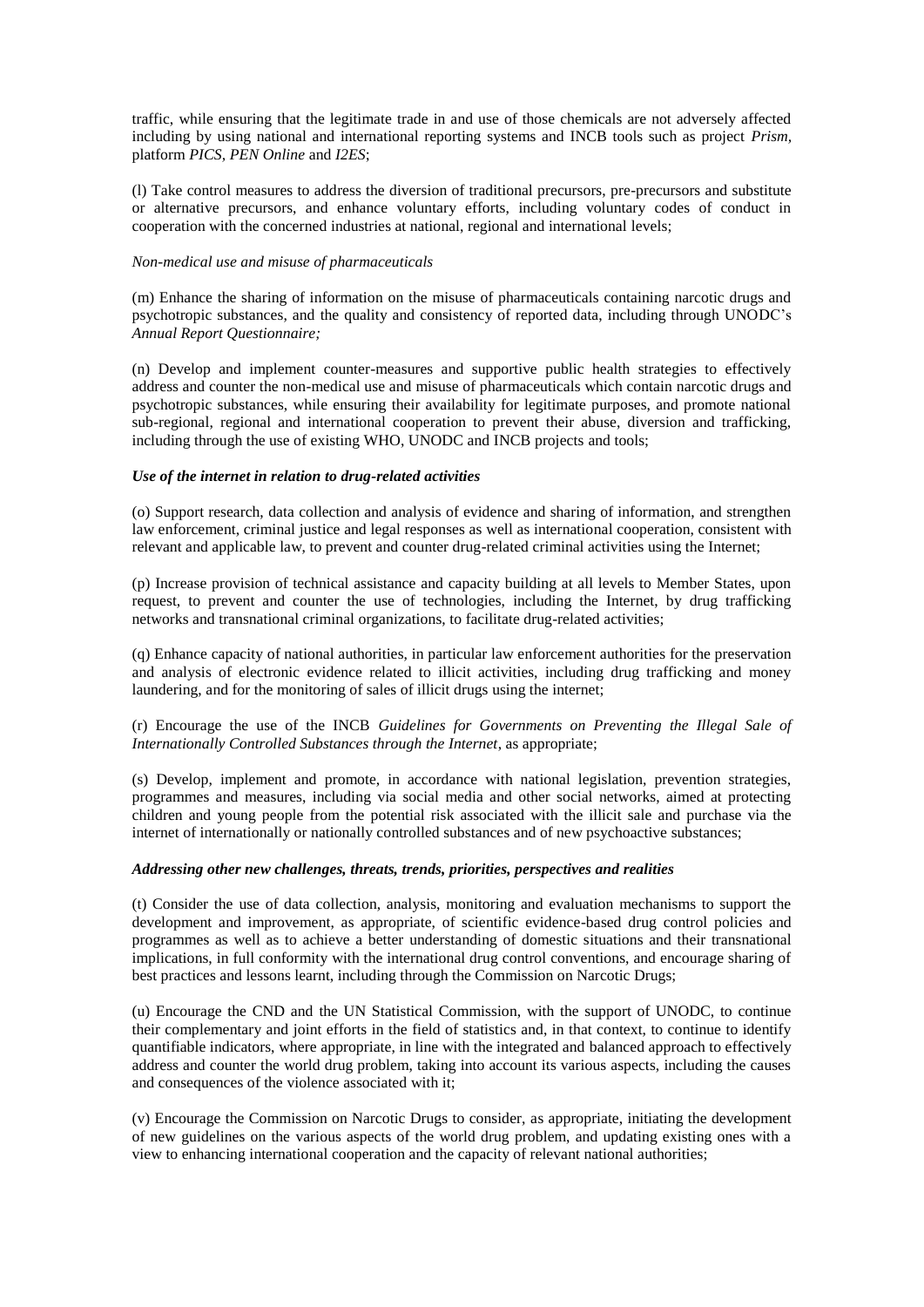traffic, while ensuring that the legitimate trade in and use of those chemicals are not adversely affected including by using national and international reporting systems and INCB tools such as project *Prism,*  platform *PICS, PEN Online* and *I2ES*;

(l) Take control measures to address the diversion of traditional precursors, pre-precursors and substitute or alternative precursors, and enhance voluntary efforts, including voluntary codes of conduct in cooperation with the concerned industries at national, regional and international levels;

### *Non-medical use and misuse of pharmaceuticals*

(m) Enhance the sharing of information on the misuse of pharmaceuticals containing narcotic drugs and psychotropic substances, and the quality and consistency of reported data, including through UNODC's *Annual Report Questionnaire;* 

(n) Develop and implement counter-measures and supportive public health strategies to effectively address and counter the non-medical use and misuse of pharmaceuticals which contain narcotic drugs and psychotropic substances, while ensuring their availability for legitimate purposes, and promote national sub-regional, regional and international cooperation to prevent their abuse, diversion and trafficking, including through the use of existing WHO, UNODC and INCB projects and tools;

#### *Use of the internet in relation to drug-related activities*

(o) Support research, data collection and analysis of evidence and sharing of information, and strengthen law enforcement, criminal justice and legal responses as well as international cooperation, consistent with relevant and applicable law, to prevent and counter drug-related criminal activities using the Internet;

(p) Increase provision of technical assistance and capacity building at all levels to Member States, upon request, to prevent and counter the use of technologies, including the Internet, by drug trafficking networks and transnational criminal organizations, to facilitate drug-related activities;

(q) Enhance capacity of national authorities, in particular law enforcement authorities for the preservation and analysis of electronic evidence related to illicit activities, including drug trafficking and money laundering, and for the monitoring of sales of illicit drugs using the internet;

(r) Encourage the use of the INCB *Guidelines for Governments on Preventing the Illegal Sale of Internationally Controlled Substances through the Internet*, as appropriate;

(s) Develop, implement and promote, in accordance with national legislation, prevention strategies, programmes and measures, including via social media and other social networks, aimed at protecting children and young people from the potential risk associated with the illicit sale and purchase via the internet of internationally or nationally controlled substances and of new psychoactive substances;

## *Addressing other new challenges, threats, trends, priorities, perspectives and realities*

(t) Consider the use of data collection, analysis, monitoring and evaluation mechanisms to support the development and improvement, as appropriate, of scientific evidence-based drug control policies and programmes as well as to achieve a better understanding of domestic situations and their transnational implications, in full conformity with the international drug control conventions, and encourage sharing of best practices and lessons learnt, including through the Commission on Narcotic Drugs;

(u) Encourage the CND and the UN Statistical Commission, with the support of UNODC, to continue their complementary and joint efforts in the field of statistics and, in that context, to continue to identify quantifiable indicators, where appropriate, in line with the integrated and balanced approach to effectively address and counter the world drug problem, taking into account its various aspects, including the causes and consequences of the violence associated with it;

(v) Encourage the Commission on Narcotic Drugs to consider, as appropriate, initiating the development of new guidelines on the various aspects of the world drug problem, and updating existing ones with a view to enhancing international cooperation and the capacity of relevant national authorities;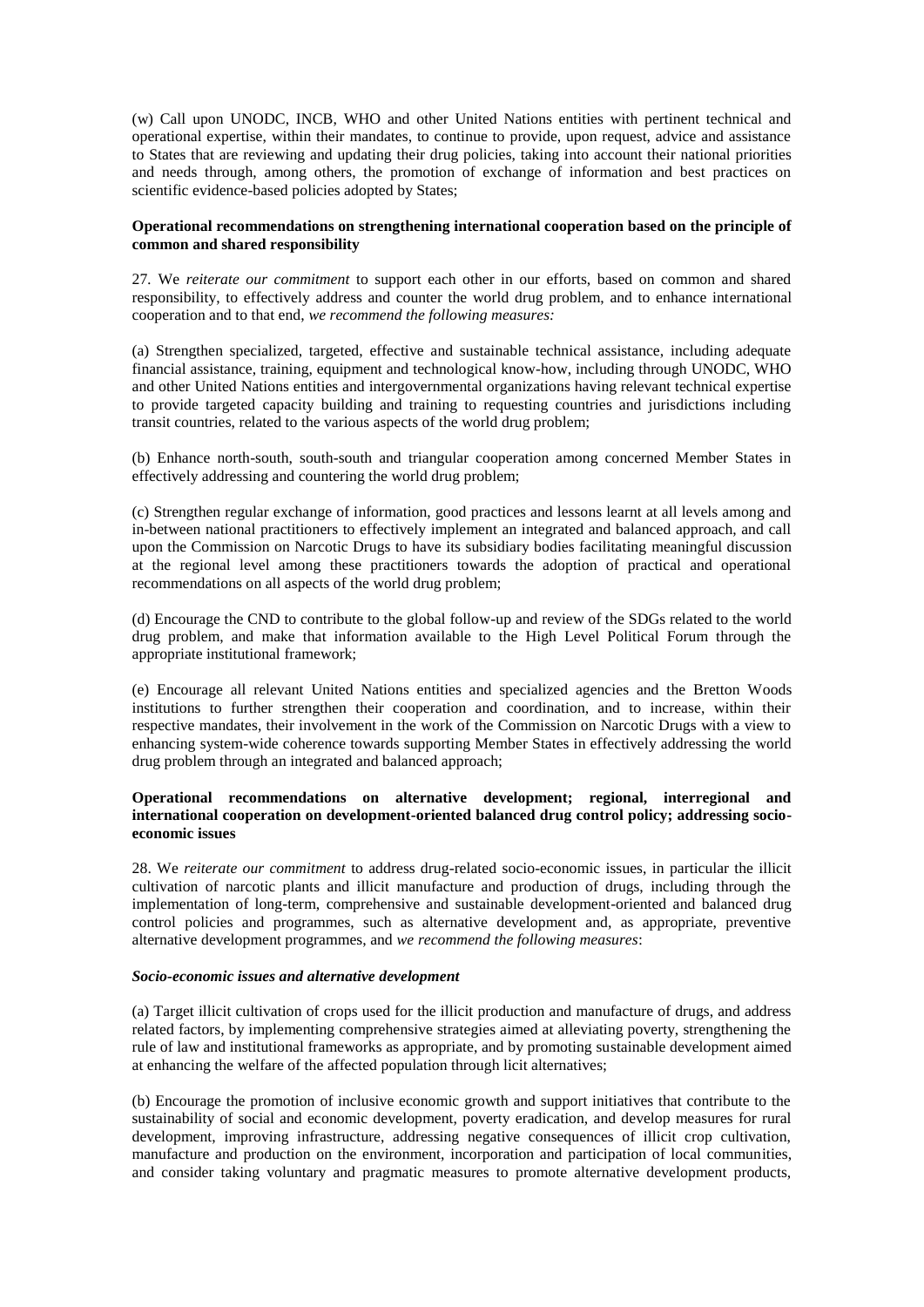(w) Call upon UNODC, INCB, WHO and other United Nations entities with pertinent technical and operational expertise, within their mandates, to continue to provide, upon request, advice and assistance to States that are reviewing and updating their drug policies, taking into account their national priorities and needs through, among others, the promotion of exchange of information and best practices on scientific evidence-based policies adopted by States;

## **Operational recommendations on strengthening international cooperation based on the principle of common and shared responsibility**

27*.* We *reiterate our commitment* to support each other in our efforts, based on common and shared responsibility, to effectively address and counter the world drug problem, and to enhance international cooperation and to that end, *we recommend the following measures:* 

(a) Strengthen specialized, targeted, effective and sustainable technical assistance, including adequate financial assistance, training, equipment and technological know-how, including through UNODC, WHO and other United Nations entities and intergovernmental organizations having relevant technical expertise to provide targeted capacity building and training to requesting countries and jurisdictions including transit countries, related to the various aspects of the world drug problem;

(b) Enhance north-south, south-south and triangular cooperation among concerned Member States in effectively addressing and countering the world drug problem;

(c) Strengthen regular exchange of information, good practices and lessons learnt at all levels among and in-between national practitioners to effectively implement an integrated and balanced approach, and call upon the Commission on Narcotic Drugs to have its subsidiary bodies facilitating meaningful discussion at the regional level among these practitioners towards the adoption of practical and operational recommendations on all aspects of the world drug problem;

(d) Encourage the CND to contribute to the global follow-up and review of the SDGs related to the world drug problem, and make that information available to the High Level Political Forum through the appropriate institutional framework;

(e) Encourage all relevant United Nations entities and specialized agencies and the Bretton Woods institutions to further strengthen their cooperation and coordination, and to increase, within their respective mandates, their involvement in the work of the Commission on Narcotic Drugs with a view to enhancing system-wide coherence towards supporting Member States in effectively addressing the world drug problem through an integrated and balanced approach;

## **Operational recommendations on alternative development; regional, interregional and international cooperation on development-oriented balanced drug control policy; addressing socioeconomic issues**

28. We *reiterate our commitment* to address drug-related socio-economic issues, in particular the illicit cultivation of narcotic plants and illicit manufacture and production of drugs, including through the implementation of long-term, comprehensive and sustainable development-oriented and balanced drug control policies and programmes, such as alternative development and, as appropriate, preventive alternative development programmes, and *we recommend the following measures*:

### *Socio-economic issues and alternative development*

(a) Target illicit cultivation of crops used for the illicit production and manufacture of drugs, and address related factors, by implementing comprehensive strategies aimed at alleviating poverty, strengthening the rule of law and institutional frameworks as appropriate, and by promoting sustainable development aimed at enhancing the welfare of the affected population through licit alternatives;

(b) Encourage the promotion of inclusive economic growth and support initiatives that contribute to the sustainability of social and economic development, poverty eradication, and develop measures for rural development, improving infrastructure, addressing negative consequences of illicit crop cultivation, manufacture and production on the environment, incorporation and participation of local communities, and consider taking voluntary and pragmatic measures to promote alternative development products,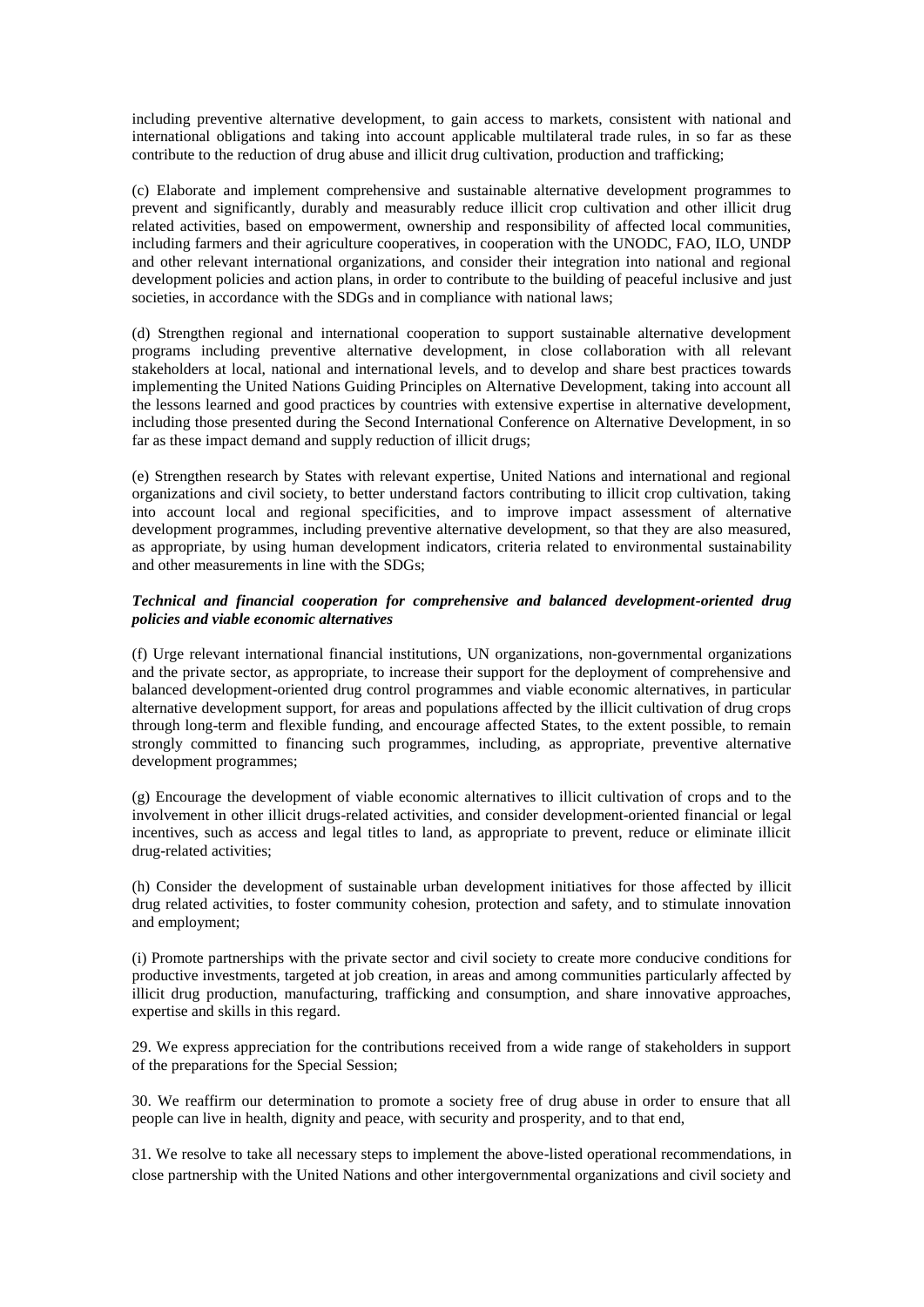including preventive alternative development, to gain access to markets, consistent with national and international obligations and taking into account applicable multilateral trade rules, in so far as these contribute to the reduction of drug abuse and illicit drug cultivation, production and trafficking;

(c) Elaborate and implement comprehensive and sustainable alternative development programmes to prevent and significantly, durably and measurably reduce illicit crop cultivation and other illicit drug related activities, based on empowerment, ownership and responsibility of affected local communities, including farmers and their agriculture cooperatives, in cooperation with the UNODC, FAO, ILO, UNDP and other relevant international organizations, and consider their integration into national and regional development policies and action plans, in order to contribute to the building of peaceful inclusive and just societies, in accordance with the SDGs and in compliance with national laws;

(d) Strengthen regional and international cooperation to support sustainable alternative development programs including preventive alternative development, in close collaboration with all relevant stakeholders at local, national and international levels, and to develop and share best practices towards implementing the United Nations Guiding Principles on Alternative Development, taking into account all the lessons learned and good practices by countries with extensive expertise in alternative development, including those presented during the Second International Conference on Alternative Development, in so far as these impact demand and supply reduction of illicit drugs;

(e) Strengthen research by States with relevant expertise, United Nations and international and regional organizations and civil society, to better understand factors contributing to illicit crop cultivation, taking into account local and regional specificities, and to improve impact assessment of alternative development programmes, including preventive alternative development, so that they are also measured, as appropriate, by using human development indicators, criteria related to environmental sustainability and other measurements in line with the SDGs;

# *Technical and financial cooperation for comprehensive and balanced development-oriented drug policies and viable economic alternatives*

(f) Urge relevant international financial institutions, UN organizations, non-governmental organizations and the private sector, as appropriate, to increase their support for the deployment of comprehensive and balanced development-oriented drug control programmes and viable economic alternatives, in particular alternative development support, for areas and populations affected by the illicit cultivation of drug crops through long-term and flexible funding, and encourage affected States, to the extent possible, to remain strongly committed to financing such programmes, including, as appropriate, preventive alternative development programmes;

(g) Encourage the development of viable economic alternatives to illicit cultivation of crops and to the involvement in other illicit drugs-related activities, and consider development-oriented financial or legal incentives, such as access and legal titles to land, as appropriate to prevent, reduce or eliminate illicit drug-related activities;

(h) Consider the development of sustainable urban development initiatives for those affected by illicit drug related activities, to foster community cohesion, protection and safety, and to stimulate innovation and employment;

(i) Promote partnerships with the private sector and civil society to create more conducive conditions for productive investments, targeted at job creation, in areas and among communities particularly affected by illicit drug production, manufacturing, trafficking and consumption, and share innovative approaches, expertise and skills in this regard.

29. We express appreciation for the contributions received from a wide range of stakeholders in support of the preparations for the Special Session;

30. We reaffirm our determination to promote a society free of drug abuse in order to ensure that all people can live in health, dignity and peace, with security and prosperity, and to that end,

31. We resolve to take all necessary steps to implement the above-listed operational recommendations, in close partnership with the United Nations and other intergovernmental organizations and civil society and